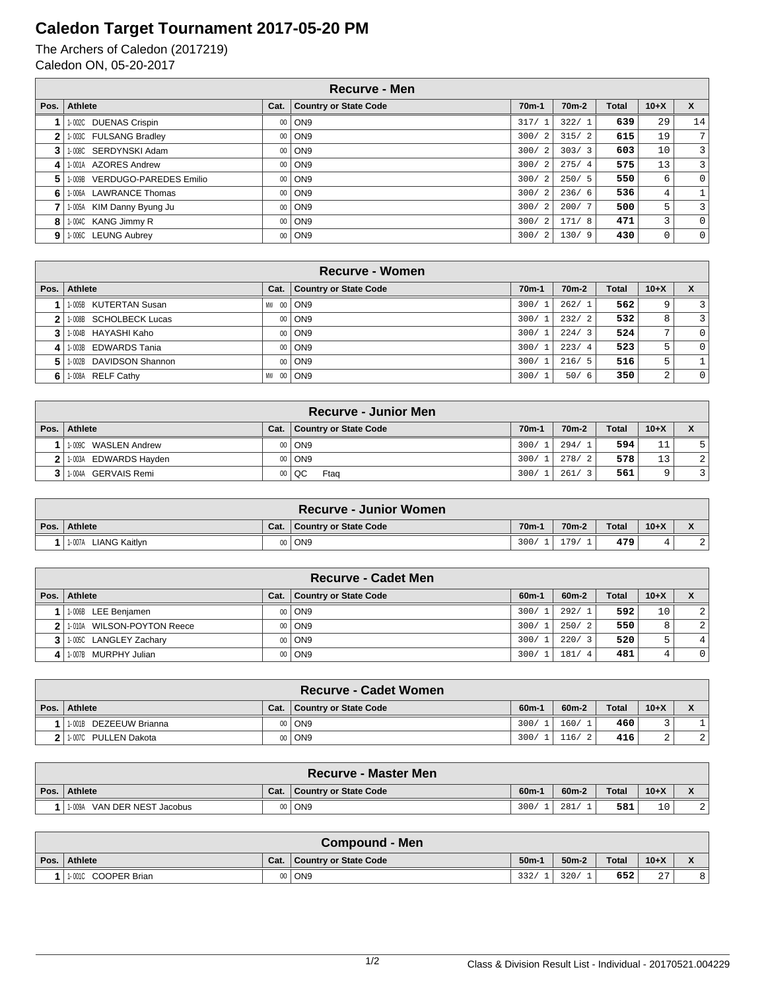## **Caledon Target Tournament 2017-05-20 PM**

The Archers of Caledon (2017219) Caledon ON, 05-20-2017

|              | <b>Recurve - Men</b>          |      |                              |                        |                    |              |        |                         |  |  |
|--------------|-------------------------------|------|------------------------------|------------------------|--------------------|--------------|--------|-------------------------|--|--|
| Pos.         | Athlete                       | Cat. | <b>Country or State Code</b> | $70m-1$                | 70 <sub>m</sub> -2 | <b>Total</b> | $10+X$ | X                       |  |  |
|              | 1-002C DUENAS Crispin         | 00   | ON <sub>9</sub>              | 317/1                  | 322/1              | 639          | 29     | 14                      |  |  |
| $\mathbf{2}$ | 1-003C FULSANG Bradley        | 00   | ON <sub>9</sub>              | 300/2                  | 315/2              | 615          | 19     | 7 <sup>1</sup>          |  |  |
| 3            | 1-008C SERDYNSKI Adam         | 00   | ON9                          | 300/2                  | 303/3              | 603          | 10     | $\overline{3}$          |  |  |
|              | 4   1-001A AZORES Andrew      | 00   | ON9                          | 300/2                  | 275/4              | 575          | 13     | $\overline{3}$          |  |  |
| 5            | 1-009B VERDUGO-PAREDES Emilio | 00   | ON9                          | 300/2                  | 250/5              | 550          | 6      | $\overline{0}$          |  |  |
| 6            | 1-006A LAWRANCE Thomas        | 00   | ON <sub>9</sub>              | 300/2                  | 236/6              | 536          | 4      |                         |  |  |
|              | 1-005A KIM Danny Byung Ju     | 00   | ON <sub>9</sub>              | 300/<br>$\overline{2}$ | 200/7              | 500          | 5      | $\overline{\mathbf{3}}$ |  |  |
| 8            | 1-004C KANG Jimmy R           | 00   | ON9                          | 300/<br>$\overline{2}$ | 171/8              | 471          | 3      | $\overline{0}$          |  |  |
|              | 9 1.006C LEUNG Aubrey         | 00   | ON9                          | 300/2                  | 130/9              | 430          | 0      | $\overline{0}$          |  |  |

|    | Recurve - Women         |              |                              |                    |                    |              |              |              |  |  |  |
|----|-------------------------|--------------|------------------------------|--------------------|--------------------|--------------|--------------|--------------|--|--|--|
|    | Pos.   Athlete          | Cat.         | <b>Country or State Code</b> | 70 <sub>m</sub> -1 | 70 <sub>m</sub> -2 | <b>Total</b> | $10+X$       |              |  |  |  |
|    | 1-005B KUTERTAN Susan   | - 00 l<br>MW | ON <sub>9</sub>              | 300/1              | 262/1              | 562          | 9            | 3            |  |  |  |
|    | 1-008B SCHOLBECK Lucas  | $00\,$       | ON <sub>9</sub>              | 300/               | 232/2              | 532          | 8            | 3            |  |  |  |
|    | 11-004B HAYASHI Kaho    | $00\degree$  | ON <sub>9</sub>              | 300/1              | 224/3              | 524          | $\mathbf{r}$ | $\Omega$     |  |  |  |
| 4  | 1.003B EDWARDS Tania    | $00\,$       | ON9                          | 300/1              | 223/4              | 523          | 5            | $\Omega$     |  |  |  |
| 5. | 1-002B DAVIDSON Shannon | $00\,$       | ON <sub>9</sub>              | 300/               | 216/5              | 516          | 5            |              |  |  |  |
| 6  | 1-008A RELF Cathy       | - 00<br>MW   | ON <sub>9</sub>              | 300/               | 50/6               | 350          | 2            | $\mathbf{0}$ |  |  |  |

|      |                         |      | <b>Recurve - Junior Men</b>  |                    |                        |              |        |                |
|------|-------------------------|------|------------------------------|--------------------|------------------------|--------------|--------|----------------|
| Pos. | Athlete                 | Cat. | <b>Country or State Code</b> | 70 <sub>m</sub> -1 | 70 <sub>m</sub> -2     | <b>Total</b> | $10+X$ |                |
|      | WASLEN Andrew<br>1-009C |      | 00   ON9                     | 300/               | 294/<br>$\overline{1}$ | 594          | 11     | 5              |
|      | 2 1.003A EDWARDS Hayden |      | 00   ON9                     | 300/               | 278/<br>$\frac{2}{2}$  | 578          | 13     | 2 <sup>1</sup> |
|      | 3 1.004A GERVAIS Remi   |      | $00   \overline{Q}C$<br>Ftag | 300/               | 261/<br>$\mathcal{R}$  | 561          |        |                |

|      |                         |      | ∖Recurve - Junior Women      |                   |                    |              |        |  |
|------|-------------------------|------|------------------------------|-------------------|--------------------|--------------|--------|--|
| Pos. | Athlete                 | Cat. | <b>Country or State Code</b> | 70 <sub>m</sub> - | 70 <sub>m</sub> -2 | <b>Total</b> | $10+X$ |  |
|      | LIANG Kaitlvn<br>1-007A | 00   | J ON9                        | 300/              | 179                | 479          |        |  |

|      | <b>Recurve - Cadet Men</b> |      |                       |         |  |                                 |              |        |                |  |
|------|----------------------------|------|-----------------------|---------|--|---------------------------------|--------------|--------|----------------|--|
| Pos. | Athlete                    | Cat. | Country or State Code | $60m -$ |  | $60m-2$                         | <b>Total</b> | $10+X$ |                |  |
|      | 1-006B LEE Benjamen        |      | 00   ON9              | 300/    |  | 292/1                           | 592          | 10     | 2              |  |
|      | 1-010A WILSON-POYTON Reece |      | 00   ON9              | 300/    |  | 250/2                           | 550          | 8      | 2              |  |
|      | 1-005C LANGLEY Zachary     |      | 00   ON9              | 300/    |  | 220/<br>$\overline{\mathbf{z}}$ | 520          | 5      | 4              |  |
|      | 1-007B MURPHY Julian       |      | 00   ON9              | 300/    |  | 181/<br>- 4                     | 481          |        | $\overline{0}$ |  |

|      |                         |         | <b>Recurve - Cadet Women</b> |                   |         |       |        |                |
|------|-------------------------|---------|------------------------------|-------------------|---------|-------|--------|----------------|
| Pos. | <b>Athlete</b>          | Cat.    | <b>Country or State Code</b> | 60 <sub>m</sub> - | $60m-2$ | Total | $10+X$ |                |
|      | 1-001B DEZEEUW Brianna  | $00 \,$ | ON9                          | 300/              | 160/    | 460   |        |                |
|      | ! 11-007C PULLEN Dakota | $00 \,$ | ON9                          | 300/              | 116/    | 416   | ∼      | $\overline{a}$ |

|      | <b>Recurve - Master Men</b>    |      |                       |         |         |              |        |              |  |  |
|------|--------------------------------|------|-----------------------|---------|---------|--------------|--------|--------------|--|--|
| Pos. | Athlete                        | Cat. | Country or State Code | $60m-1$ | $60m-2$ | <b>Total</b> | $10+X$ | $\mathbf{v}$ |  |  |
|      | VAN DER NEST Jacobus<br>1-009A | 00   | i ON9                 | 300/    | 281     | 581          | 10     |              |  |  |

|      | <b>Compound - Men</b> |      |                       |         |         |              |        |              |  |  |  |
|------|-----------------------|------|-----------------------|---------|---------|--------------|--------|--------------|--|--|--|
| Pos. | Athlete               | Cat. | Country or State Code | $50m-1$ | $50m-2$ | <b>Total</b> | $10+X$ | $\mathbf{r}$ |  |  |  |
|      | 1-0010 COOPER Brian   |      | 00   ON9              | 332/    | 320/    | 652          | 27     | 8            |  |  |  |